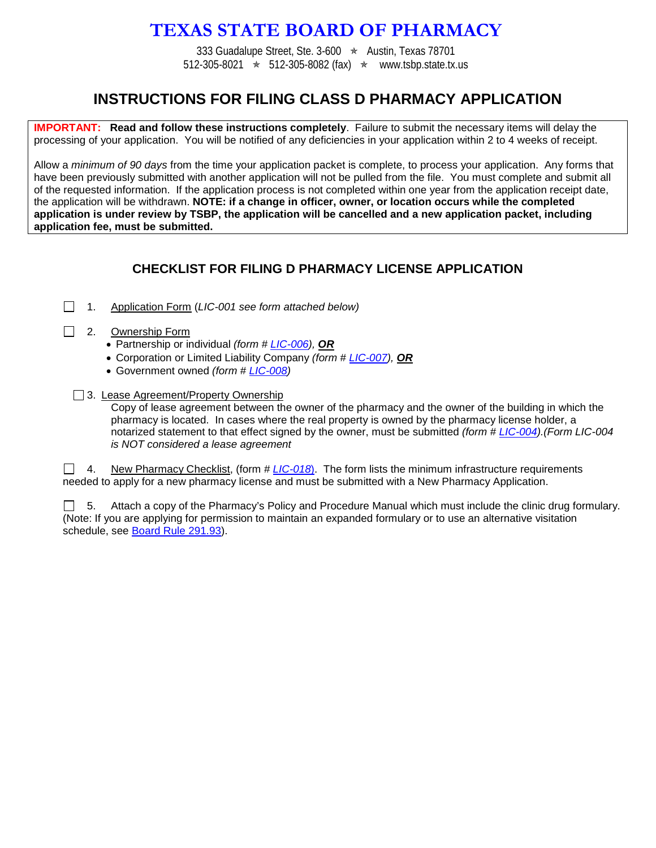# **TEXAS STATE BOARD OF PHARMACY**

333 Guadalupe Street, Ste. 3-600  $\star$  Austin, Texas 78701 512-305-8021  $\star$  512-305-8082 (fax)  $\star$  www.tsbp.state.tx.us

## **INSTRUCTIONS FOR FILING CLASS D PHARMACY APPLICATION**

**IMPORTANT: Read and follow these instructions completely**. Failure to submit the necessary items will delay the processing of your application. You will be notified of any deficiencies in your application within 2 to 4 weeks of receipt.

Allow a *minimum of 90 days* from the time your application packet is complete, to process your application. Any forms that have been previously submitted with another application will not be pulled from the file. You must complete and submit all of the requested information. If the application process is not completed within one year from the application receipt date, the application will be withdrawn. **NOTE: if a change in officer, owner, or location occurs while the completed application is under review by TSBP, the application will be cancelled and a new application packet, including application fee, must be submitted.**

#### **CHECKLIST FOR FILING D PHARMACY LICENSE APPLICATION**

1. Application Form (*LIC-001 see form attached below)*

#### 2. Ownership Form

- Partnership or individual *(form # [LIC-006\)](http://www.tsbp.state.tx.us/files_pdf/lic-006.pdf), OR*
- Corporation or Limited Liability Company *(form # [LIC-007\)](http://www.tsbp.state.tx.us/files_pdf/lic-007.pdf), OR*
- Government owned *(form # [LIC-008\)](http://www.tsbp.state.tx.us/files_pdf/lic-008.pdf)*
- □ 3. Lease Agreement/Property Ownership

Copy of lease agreement between the owner of the pharmacy and the owner of the building in which the pharmacy is located. In cases where the real property is owned by the pharmacy license holder, a notarized statement to that effect signed by the owner, must be submitted *(form # [LIC-004\)](http://www.tsbp.state.tx.us/files_pdf/lic-004.pdf).(Form LIC-004 is NOT considered a lease agreement*

4. New Pharmacy Checklist, (form # *[LIC-018](http://www.tsbp.state.tx.us/files_pdf/lic-018.pdf)*). The form lists the minimum infrastructure requirements needed to apply for a new pharmacy license and must be submitted with a New Pharmacy Application.

 $\Box$  5. Attach a copy of the Pharmacy's Policy and Procedure Manual which must include the clinic drug formulary. (Note: If you are applying for permission to maintain an expanded formulary or to use an alternative visitation schedule, see [Board Rule 291.93\)](http://info.sos.state.tx.us/pls/pub/readtac$ext.TacPage?sl=R&app=9&p_dir=&p_rloc=&p_tloc=&p_ploc=&pg=1&p_tac=&ti=22&pt=15&ch=291&rl=93).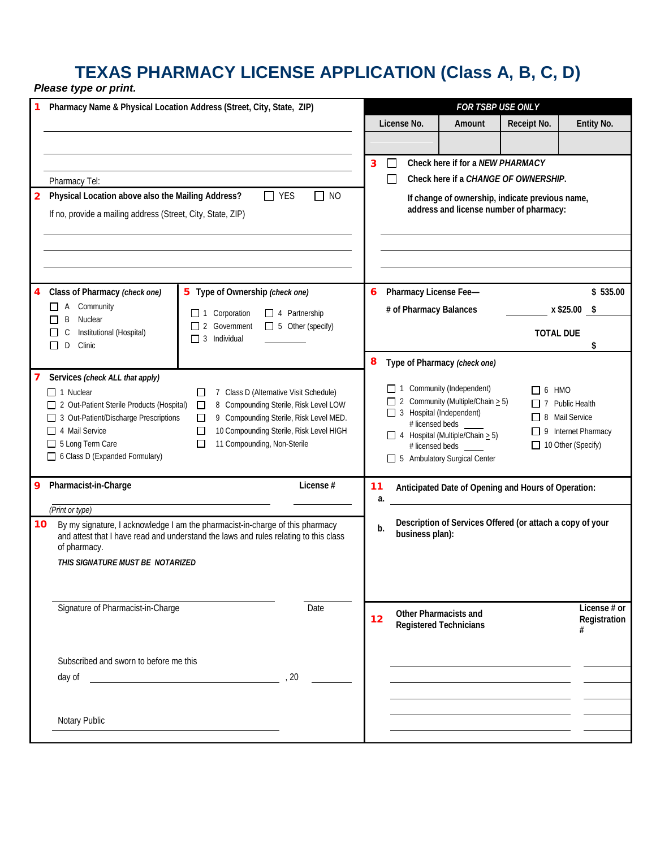### **TEXAS PHARMACY LICENSE APPLICATION (Class A, B, C, D)** *Please type or print.*

|                                | Pharmacy Name & Physical Location Address (Street, City, State, ZIP)                                                |                                 |                                        |                                                                                                                                         |                                                                                           | FOR TSBP USE ONLY                                                                          |                                      |                        |  |  |
|--------------------------------|---------------------------------------------------------------------------------------------------------------------|---------------------------------|----------------------------------------|-----------------------------------------------------------------------------------------------------------------------------------------|-------------------------------------------------------------------------------------------|--------------------------------------------------------------------------------------------|--------------------------------------|------------------------|--|--|
|                                |                                                                                                                     |                                 |                                        |                                                                                                                                         | License No.                                                                               | Amount                                                                                     | Receipt No.                          | Entity No.             |  |  |
|                                |                                                                                                                     |                                 |                                        |                                                                                                                                         |                                                                                           |                                                                                            |                                      |                        |  |  |
|                                |                                                                                                                     |                                 |                                        |                                                                                                                                         | $\Box$                                                                                    | Check here if for a NEW PHARMACY                                                           |                                      |                        |  |  |
|                                |                                                                                                                     |                                 |                                        | 3                                                                                                                                       | $\Box$                                                                                    |                                                                                            |                                      |                        |  |  |
|                                | Pharmacy Tel:                                                                                                       |                                 | $\Box$ NO                              |                                                                                                                                         |                                                                                           |                                                                                            | Check here if a CHANGE OF OWNERSHIP. |                        |  |  |
| $\mathbf{2}$                   | Physical Location above also the Mailing Address?<br>$\Box$ YES                                                     |                                 |                                        |                                                                                                                                         |                                                                                           | If change of ownership, indicate previous name,<br>address and license number of pharmacy: |                                      |                        |  |  |
|                                | If no, provide a mailing address (Street, City, State, ZIP)                                                         |                                 |                                        |                                                                                                                                         |                                                                                           |                                                                                            |                                      |                        |  |  |
|                                |                                                                                                                     |                                 |                                        |                                                                                                                                         |                                                                                           |                                                                                            |                                      |                        |  |  |
|                                |                                                                                                                     |                                 |                                        |                                                                                                                                         |                                                                                           |                                                                                            |                                      |                        |  |  |
|                                |                                                                                                                     |                                 |                                        |                                                                                                                                         |                                                                                           |                                                                                            |                                      |                        |  |  |
|                                | Class of Pharmacy (check one)                                                                                       | 5 Type of Ownership (check one) |                                        |                                                                                                                                         | 6 Pharmacy License Fee-                                                                   |                                                                                            |                                      | \$535.00               |  |  |
|                                | $\Box$ A Community                                                                                                  | $\Box$ 1 Corporation            | $\Box$ 4 Partnership                   |                                                                                                                                         | # of Pharmacy Balances                                                                    |                                                                                            |                                      | x \$25.00 \$           |  |  |
|                                | Nuclear<br>B<br>$\Box$ 2 Government $\Box$ 5 Other (specify)<br>Institutional (Hospital)<br>C                       |                                 |                                        |                                                                                                                                         |                                                                                           |                                                                                            | <b>TOTAL DUE</b>                     |                        |  |  |
|                                | D<br>Clinic<br>ΙI                                                                                                   | $\Box$ 3 Individual             |                                        |                                                                                                                                         |                                                                                           |                                                                                            |                                      | \$                     |  |  |
|                                |                                                                                                                     |                                 |                                        | 8                                                                                                                                       |                                                                                           | Type of Pharmacy (check one)                                                               |                                      |                        |  |  |
|                                | Services (check ALL that apply)                                                                                     |                                 |                                        |                                                                                                                                         |                                                                                           |                                                                                            |                                      |                        |  |  |
|                                | $\Box$ 1 Nuclear<br>7 Class D (Alternative Visit Schedule)<br>П<br>8 Compounding Sterile, Risk Level LOW            |                                 |                                        |                                                                                                                                         | $\Box$ 1 Community (Independent)<br>$\Box$ 6 HMO<br>2 Community (Multiple/Chain $\geq$ 5) |                                                                                            |                                      | $\Box$ 7 Public Health |  |  |
|                                | 2 Out-Patient Sterile Products (Hospital)<br>3 Out-Patient/Discharge Prescriptions                                  | □<br>П                          | 9 Compounding Sterile, Risk Level MED. | 3 Hospital (Independent)<br>□ 8 Mail Service                                                                                            |                                                                                           |                                                                                            |                                      |                        |  |  |
|                                | 10 Compounding Sterile, Risk Level HIGH<br>□ 4 Mail Service<br>11 Compounding, Non-Sterile<br>5 Long Term Care<br>П |                                 |                                        | # licensed beds<br>$\Box$ 9 Internet Pharmacy<br>$\Box$ 4 Hospital (Multiple/Chain $\geq$ 5)<br>10 Other (Specify)<br># licensed beds _ |                                                                                           |                                                                                            |                                      |                        |  |  |
|                                |                                                                                                                     |                                 |                                        |                                                                                                                                         |                                                                                           |                                                                                            |                                      |                        |  |  |
| 6 Class D (Expanded Formulary) |                                                                                                                     |                                 |                                        |                                                                                                                                         | 5 Ambulatory Surgical Center                                                              |                                                                                            |                                      |                        |  |  |
| 9                              | Pharmacist-in-Charge<br>License #<br>11                                                                             |                                 |                                        |                                                                                                                                         | Anticipated Date of Opening and Hours of Operation:                                       |                                                                                            |                                      |                        |  |  |
|                                |                                                                                                                     |                                 |                                        | a.                                                                                                                                      |                                                                                           |                                                                                            |                                      |                        |  |  |
| 10                             | (Print or type)<br>By my signature, I acknowledge I am the pharmacist-in-charge of this pharmacy                    |                                 |                                        |                                                                                                                                         | Description of Services Offered (or attach a copy of your                                 |                                                                                            |                                      |                        |  |  |
|                                | and attest that I have read and understand the laws and rules relating to this class                                |                                 |                                        | b.                                                                                                                                      | business plan):                                                                           |                                                                                            |                                      |                        |  |  |
|                                | of pharmacy.                                                                                                        |                                 |                                        |                                                                                                                                         |                                                                                           |                                                                                            |                                      |                        |  |  |
|                                | THIS SIGNATURE MUST BE NOTARIZED                                                                                    |                                 |                                        |                                                                                                                                         |                                                                                           |                                                                                            |                                      |                        |  |  |
|                                |                                                                                                                     |                                 |                                        |                                                                                                                                         |                                                                                           |                                                                                            |                                      |                        |  |  |
|                                | Signature of Pharmacist-in-Charge<br>Date                                                                           |                                 |                                        |                                                                                                                                         |                                                                                           | Other Pharmacists and                                                                      |                                      | License # or           |  |  |
|                                |                                                                                                                     |                                 |                                        | 12                                                                                                                                      |                                                                                           | <b>Registered Technicians</b>                                                              |                                      | Registration<br>#      |  |  |
|                                |                                                                                                                     |                                 |                                        |                                                                                                                                         |                                                                                           |                                                                                            |                                      |                        |  |  |
|                                | Subscribed and sworn to before me this                                                                              |                                 |                                        |                                                                                                                                         |                                                                                           |                                                                                            |                                      |                        |  |  |
|                                | day of                                                                                                              |                                 | , 20                                   |                                                                                                                                         |                                                                                           |                                                                                            |                                      |                        |  |  |
|                                |                                                                                                                     |                                 |                                        |                                                                                                                                         |                                                                                           |                                                                                            |                                      |                        |  |  |
|                                |                                                                                                                     |                                 |                                        |                                                                                                                                         |                                                                                           |                                                                                            |                                      |                        |  |  |
|                                | Notary Public                                                                                                       |                                 |                                        |                                                                                                                                         |                                                                                           |                                                                                            |                                      |                        |  |  |
|                                |                                                                                                                     |                                 |                                        |                                                                                                                                         |                                                                                           |                                                                                            |                                      |                        |  |  |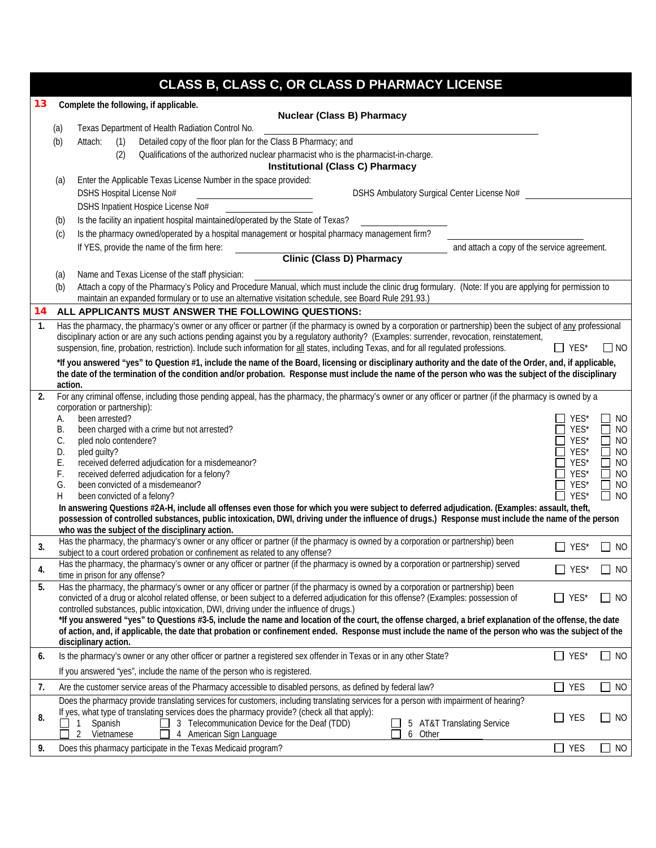|    |                                   | CLASS B, CLASS C, OR CLASS D PHARMACY LICENSE                                                                                                                                                                                                                   |              |                             |  |  |  |
|----|-----------------------------------|-----------------------------------------------------------------------------------------------------------------------------------------------------------------------------------------------------------------------------------------------------------------|--------------|-----------------------------|--|--|--|
| 13 |                                   | Complete the following, if applicable.                                                                                                                                                                                                                          |              |                             |  |  |  |
|    | <b>Nuclear (Class B) Pharmacy</b> |                                                                                                                                                                                                                                                                 |              |                             |  |  |  |
|    | (a)                               | Texas Department of Health Radiation Control No.                                                                                                                                                                                                                |              |                             |  |  |  |
|    | (b)                               | Detailed copy of the floor plan for the Class B Pharmacy; and<br>Attach:<br>(1)                                                                                                                                                                                 |              |                             |  |  |  |
|    |                                   | (2)<br>Qualifications of the authorized nuclear pharmacist who is the pharmacist-in-charge.                                                                                                                                                                     |              |                             |  |  |  |
|    |                                   | <b>Institutional (Class C) Pharmacy</b>                                                                                                                                                                                                                         |              |                             |  |  |  |
|    | (a)                               | Enter the Applicable Texas License Number in the space provided:                                                                                                                                                                                                |              |                             |  |  |  |
|    |                                   | DSHS Hospital License No#<br>DSHS Ambulatory Surgical Center License No#                                                                                                                                                                                        |              |                             |  |  |  |
|    |                                   | DSHS Inpatient Hospice License No#                                                                                                                                                                                                                              |              |                             |  |  |  |
|    | (b)                               | Is the facility an inpatient hospital maintained/operated by the State of Texas?                                                                                                                                                                                |              |                             |  |  |  |
|    | (c)                               | Is the pharmacy owned/operated by a hospital management or hospital pharmacy management firm?                                                                                                                                                                   |              |                             |  |  |  |
|    |                                   | and attach a copy of the service agreement.<br>If YES, provide the name of the firm here:                                                                                                                                                                       |              |                             |  |  |  |
|    |                                   | <b>Clinic (Class D) Pharmacy</b>                                                                                                                                                                                                                                |              |                             |  |  |  |
|    | (a)                               | Name and Texas License of the staff physician:                                                                                                                                                                                                                  |              |                             |  |  |  |
|    | (b)                               | Attach a copy of the Pharmacy's Policy and Procedure Manual, which must include the clinic drug formulary. (Note: If you are applying for permission to<br>maintain an expanded formulary or to use an alternative visitation schedule, see Board Rule 291.93.) |              |                             |  |  |  |
| 14 |                                   | ALL APPLICANTS MUST ANSWER THE FOLLOWING QUESTIONS:                                                                                                                                                                                                             |              |                             |  |  |  |
| 1. |                                   | Has the pharmacy, the pharmacy's owner or any officer or partner (if the pharmacy is owned by a corporation or partnership) been the subject of any professional                                                                                                |              |                             |  |  |  |
|    |                                   | disciplinary action or are any such actions pending against you by a regulatory authority? (Examples: surrender, revocation, reinstatement,                                                                                                                     |              |                             |  |  |  |
|    |                                   | suspension, fine, probation, restriction). Include such information for all states, including Texas, and for all regulated professions.                                                                                                                         | $\Box$ YES*  | $\Box$ NO                   |  |  |  |
|    |                                   | *If you answered "yes" to Question #1, include the name of the Board, licensing or disciplinary authority and the date of the Order, and, if applicable,                                                                                                        |              |                             |  |  |  |
|    |                                   | the date of the termination of the condition and/or probation. Response must include the name of the person who was the subject of the disciplinary                                                                                                             |              |                             |  |  |  |
| 2. | action.                           | For any criminal offense, including those pending appeal, has the pharmacy, the pharmacy's owner or any officer or partner (if the pharmacy is owned by a                                                                                                       |              |                             |  |  |  |
|    |                                   | corporation or partnership):                                                                                                                                                                                                                                    |              |                             |  |  |  |
|    | А.                                | been arrested?                                                                                                                                                                                                                                                  | YES*         | NO                          |  |  |  |
|    | В.                                | been charged with a crime but not arrested?                                                                                                                                                                                                                     | YES*         | <b>NO</b><br>$\mathbf{L}$   |  |  |  |
|    | C.                                | pled nolo contendere?                                                                                                                                                                                                                                           | YES*         | <b>NO</b>                   |  |  |  |
|    | D.<br>Ε.                          | pled guilty?<br>received deferred adjudication for a misdemeanor?                                                                                                                                                                                               | YES*<br>YES* | N <sub>O</sub><br><b>NO</b> |  |  |  |
|    | F.                                | received deferred adjudication for a felony?                                                                                                                                                                                                                    | YES*         | <b>NO</b>                   |  |  |  |
|    | G.                                | been convicted of a misdemeanor?                                                                                                                                                                                                                                | YES*         | N <sub>O</sub>              |  |  |  |
|    | Н                                 | YES*<br>been convicted of a felony?<br>N <sub>O</sub>                                                                                                                                                                                                           |              |                             |  |  |  |
|    |                                   | In answering Questions #2A-H, include all offenses even those for which you were subject to deferred adjudication. (Examples: assault, theft,                                                                                                                   |              |                             |  |  |  |
|    |                                   | possession of controlled substances, public intoxication, DWI, driving under the influence of drugs.) Response must include the name of the person<br>who was the subject of the disciplinary action.                                                           |              |                             |  |  |  |
|    |                                   | Has the pharmacy, the pharmacy's owner or any officer or partner (if the pharmacy is owned by a corporation or partnership) been                                                                                                                                |              |                             |  |  |  |
| 3. |                                   | subject to a court ordered probation or confinement as related to any offense?                                                                                                                                                                                  | YES*         | NO                          |  |  |  |
| 4. |                                   | Has the pharmacy, the pharmacy's owner or any officer or partner (if the pharmacy is owned by a corporation or partnership) served<br>time in prison for any offense?                                                                                           | $\Box$ YES*  | $\Box$ NO                   |  |  |  |
| 5. |                                   | Has the pharmacy, the pharmacy's owner or any officer or partner (if the pharmacy is owned by a corporation or partnership) been                                                                                                                                |              |                             |  |  |  |
|    |                                   | convicted of a drug or alcohol related offense, or been subject to a deferred adjudication for this offense? (Examples: possession of                                                                                                                           | $\Box$ Yes*  | $\Box$ NO                   |  |  |  |
|    |                                   | controlled substances, public intoxication, DWI, driving under the influence of drugs.)                                                                                                                                                                         |              |                             |  |  |  |
|    |                                   | *If you answered "yes" to Questions #3-5, include the name and location of the court, the offense charged, a brief explanation of the offense, the date                                                                                                         |              |                             |  |  |  |
|    |                                   | of action, and, if applicable, the date that probation or confinement ended. Response must include the name of the person who was the subject of the<br>disciplinary action.                                                                                    |              |                             |  |  |  |
| 6. |                                   | Is the pharmacy's owner or any other officer or partner a registered sex offender in Texas or in any other State?                                                                                                                                               | $\Box$ YES*  | $\Box$ NO                   |  |  |  |
|    |                                   | If you answered "yes", include the name of the person who is registered.                                                                                                                                                                                        |              |                             |  |  |  |
| 7. |                                   | Are the customer service areas of the Pharmacy accessible to disabled persons, as defined by federal law?                                                                                                                                                       | $\Box$ YES   | $\Box$<br>NO                |  |  |  |
|    |                                   | Does the pharmacy provide translating services for customers, including translating services for a person with impairment of hearing?                                                                                                                           |              |                             |  |  |  |
|    |                                   | If yes, what type of translating services does the pharmacy provide? (check all that apply):                                                                                                                                                                    |              |                             |  |  |  |
| 8. |                                   | 3 Telecommunication Device for the Deaf (TDD)<br>Spanish<br>5 AT&T Translating Service<br>L.                                                                                                                                                                    | <b>YES</b>   | $\Box$ NO                   |  |  |  |
|    |                                   | American Sign Language<br>6<br>Vietnamese<br>Other<br>2<br>4                                                                                                                                                                                                    |              |                             |  |  |  |
| 9. |                                   | Does this pharmacy participate in the Texas Medicaid program?                                                                                                                                                                                                   | $\Box$ Yes   | <b>NO</b><br>П              |  |  |  |